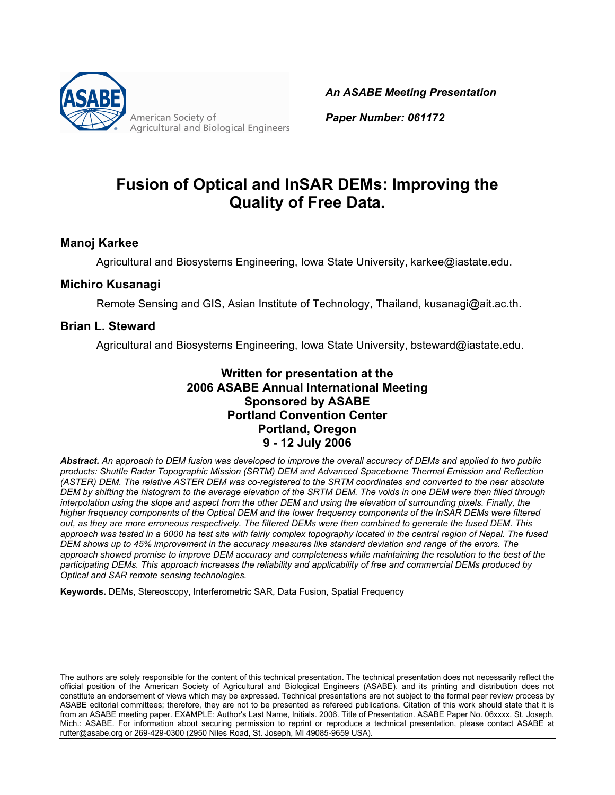

American Society of Agricultural and Biological Engineers *An ASABE Meeting Presentation*

*Paper Number: 061172*

# **Fusion of Optical and InSAR DEMs: Improving the Quality of Free Data.**

### **Manoj Karkee**

Agricultural and Biosystems Engineering, Iowa State University, karkee@iastate.edu.

### **Michiro Kusanagi**

Remote Sensing and GIS, Asian Institute of Technology, Thailand, kusanagi@ait.ac.th.

#### **Brian L. Steward**

Agricultural and Biosystems Engineering, Iowa State University, bsteward@iastate.edu.

### **Written for presentation at the 2006 ASABE Annual International Meeting Sponsored by ASABE Portland Convention Center Portland, Oregon 9 - 12 July 2006**

*Abstract. An approach to DEM fusion was developed to improve the overall accuracy of DEMs and applied to two public products: Shuttle Radar Topographic Mission (SRTM) DEM and Advanced Spaceborne Thermal Emission and Reflection (ASTER) DEM. The relative ASTER DEM was co-registered to the SRTM coordinates and converted to the near absolute DEM by shifting the histogram to the average elevation of the SRTM DEM. The voids in one DEM were then filled through interpolation using the slope and aspect from the other DEM and using the elevation of surrounding pixels. Finally, the higher frequency components of the Optical DEM and the lower frequency components of the InSAR DEMs were filtered out, as they are more erroneous respectively. The filtered DEMs were then combined to generate the fused DEM. This approach was tested in a 6000 ha test site with fairly complex topography located in the central region of Nepal. The fused DEM shows up to 45% improvement in the accuracy measures like standard deviation and range of the errors. The*  approach showed promise to improve DEM accuracy and completeness while maintaining the resolution to the best of the *participating DEMs. This approach increases the reliability and applicability of free and commercial DEMs produced by Optical and SAR remote sensing technologies.* 

**Keywords.** DEMs, Stereoscopy, Interferometric SAR, Data Fusion, Spatial Frequency

The authors are solely responsible for the content of this technical presentation. The technical presentation does not necessarily reflect the official position of the American Society of Agricultural and Biological Engineers (ASABE), and its printing and distribution does not constitute an endorsement of views which may be expressed. Technical presentations are not subject to the formal peer review process by ASABE editorial committees; therefore, they are not to be presented as refereed publications. Citation of this work should state that it is from an ASABE meeting paper. EXAMPLE: Author's Last Name, Initials. 2006. Title of Presentation. ASABE Paper No. 06xxxx. St. Joseph, Mich.: ASABE. For information about securing permission to reprint or reproduce a technical presentation, please contact ASABE at rutter@asabe.org or 269-429-0300 (2950 Niles Road, St. Joseph, MI 49085-9659 USA).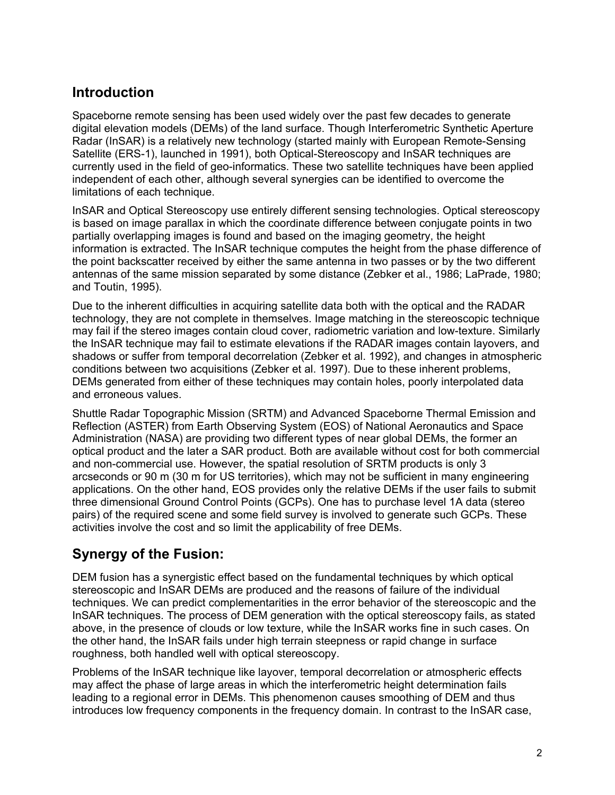### **Introduction**

Spaceborne remote sensing has been used widely over the past few decades to generate digital elevation models (DEMs) of the land surface. Though Interferometric Synthetic Aperture Radar (InSAR) is a relatively new technology (started mainly with European Remote-Sensing Satellite (ERS-1), launched in 1991), both Optical-Stereoscopy and InSAR techniques are currently used in the field of geo-informatics. These two satellite techniques have been applied independent of each other, although several synergies can be identified to overcome the limitations of each technique.

InSAR and Optical Stereoscopy use entirely different sensing technologies. Optical stereoscopy is based on image parallax in which the coordinate difference between conjugate points in two partially overlapping images is found and based on the imaging geometry, the height information is extracted. The InSAR technique computes the height from the phase difference of the point backscatter received by either the same antenna in two passes or by the two different antennas of the same mission separated by some distance (Zebker et al., 1986; LaPrade, 1980; and Toutin, 1995).

Due to the inherent difficulties in acquiring satellite data both with the optical and the RADAR technology, they are not complete in themselves. Image matching in the stereoscopic technique may fail if the stereo images contain cloud cover, radiometric variation and low-texture. Similarly the InSAR technique may fail to estimate elevations if the RADAR images contain layovers, and shadows or suffer from temporal decorrelation (Zebker et al. 1992), and changes in atmospheric conditions between two acquisitions (Zebker et al. 1997). Due to these inherent problems, DEMs generated from either of these techniques may contain holes, poorly interpolated data and erroneous values.

Shuttle Radar Topographic Mission (SRTM) and Advanced Spaceborne Thermal Emission and Reflection (ASTER) from Earth Observing System (EOS) of National Aeronautics and Space Administration (NASA) are providing two different types of near global DEMs, the former an optical product and the later a SAR product. Both are available without cost for both commercial and non-commercial use. However, the spatial resolution of SRTM products is only 3 arcseconds or 90 m (30 m for US territories), which may not be sufficient in many engineering applications. On the other hand, EOS provides only the relative DEMs if the user fails to submit three dimensional Ground Control Points (GCPs). One has to purchase level 1A data (stereo pairs) of the required scene and some field survey is involved to generate such GCPs. These activities involve the cost and so limit the applicability of free DEMs.

# **Synergy of the Fusion:**

DEM fusion has a synergistic effect based on the fundamental techniques by which optical stereoscopic and InSAR DEMs are produced and the reasons of failure of the individual techniques. We can predict complementarities in the error behavior of the stereoscopic and the InSAR techniques. The process of DEM generation with the optical stereoscopy fails, as stated above, in the presence of clouds or low texture, while the InSAR works fine in such cases. On the other hand, the InSAR fails under high terrain steepness or rapid change in surface roughness, both handled well with optical stereoscopy.

Problems of the InSAR technique like layover, temporal decorrelation or atmospheric effects may affect the phase of large areas in which the interferometric height determination fails leading to a regional error in DEMs. This phenomenon causes smoothing of DEM and thus introduces low frequency components in the frequency domain. In contrast to the InSAR case,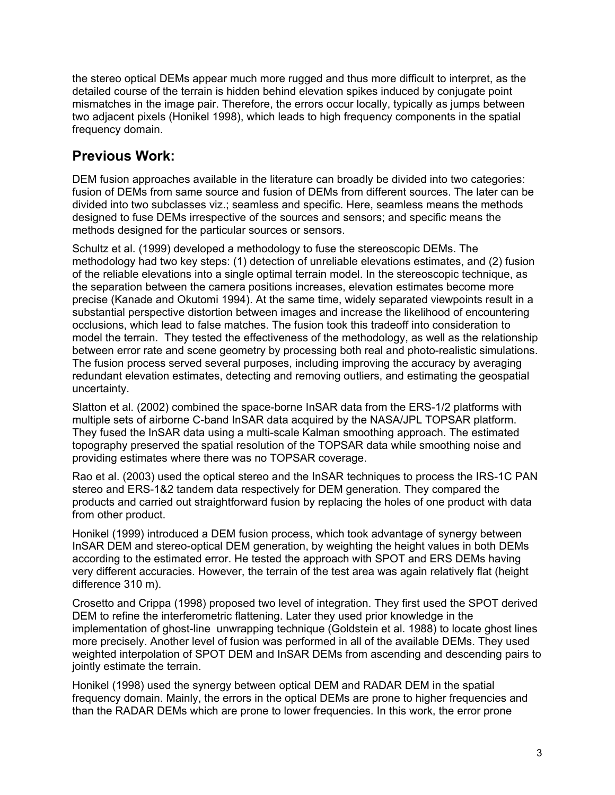the stereo optical DEMs appear much more rugged and thus more difficult to interpret, as the detailed course of the terrain is hidden behind elevation spikes induced by conjugate point mismatches in the image pair. Therefore, the errors occur locally, typically as jumps between two adjacent pixels (Honikel 1998), which leads to high frequency components in the spatial frequency domain.

# **Previous Work:**

DEM fusion approaches available in the literature can broadly be divided into two categories: fusion of DEMs from same source and fusion of DEMs from different sources. The later can be divided into two subclasses viz.; seamless and specific. Here, seamless means the methods designed to fuse DEMs irrespective of the sources and sensors; and specific means the methods designed for the particular sources or sensors.

Schultz et al. (1999) developed a methodology to fuse the stereoscopic DEMs. The methodology had two key steps: (1) detection of unreliable elevations estimates, and (2) fusion of the reliable elevations into a single optimal terrain model. In the stereoscopic technique, as the separation between the camera positions increases, elevation estimates become more precise (Kanade and Okutomi 1994). At the same time, widely separated viewpoints result in a substantial perspective distortion between images and increase the likelihood of encountering occlusions, which lead to false matches. The fusion took this tradeoff into consideration to model the terrain. They tested the effectiveness of the methodology, as well as the relationship between error rate and scene geometry by processing both real and photo-realistic simulations. The fusion process served several purposes, including improving the accuracy by averaging redundant elevation estimates, detecting and removing outliers, and estimating the geospatial uncertainty.

Slatton et al. (2002) combined the space-borne InSAR data from the ERS-1/2 platforms with multiple sets of airborne C-band InSAR data acquired by the NASA/JPL TOPSAR platform. They fused the InSAR data using a multi-scale Kalman smoothing approach. The estimated topography preserved the spatial resolution of the TOPSAR data while smoothing noise and providing estimates where there was no TOPSAR coverage.

Rao et al. (2003) used the optical stereo and the InSAR techniques to process the IRS-1C PAN stereo and ERS-1&2 tandem data respectively for DEM generation. They compared the products and carried out straightforward fusion by replacing the holes of one product with data from other product.

Honikel (1999) introduced a DEM fusion process, which took advantage of synergy between InSAR DEM and stereo-optical DEM generation, by weighting the height values in both DEMs according to the estimated error. He tested the approach with SPOT and ERS DEMs having very different accuracies. However, the terrain of the test area was again relatively flat (height difference 310 m).

Crosetto and Crippa (1998) proposed two level of integration. They first used the SPOT derived DEM to refine the interferometric flattening. Later they used prior knowledge in the implementation of ghost-line unwrapping technique (Goldstein et al. 1988) to locate ghost lines more precisely. Another level of fusion was performed in all of the available DEMs. They used weighted interpolation of SPOT DEM and InSAR DEMs from ascending and descending pairs to jointly estimate the terrain.

Honikel (1998) used the synergy between optical DEM and RADAR DEM in the spatial frequency domain. Mainly, the errors in the optical DEMs are prone to higher frequencies and than the RADAR DEMs which are prone to lower frequencies. In this work, the error prone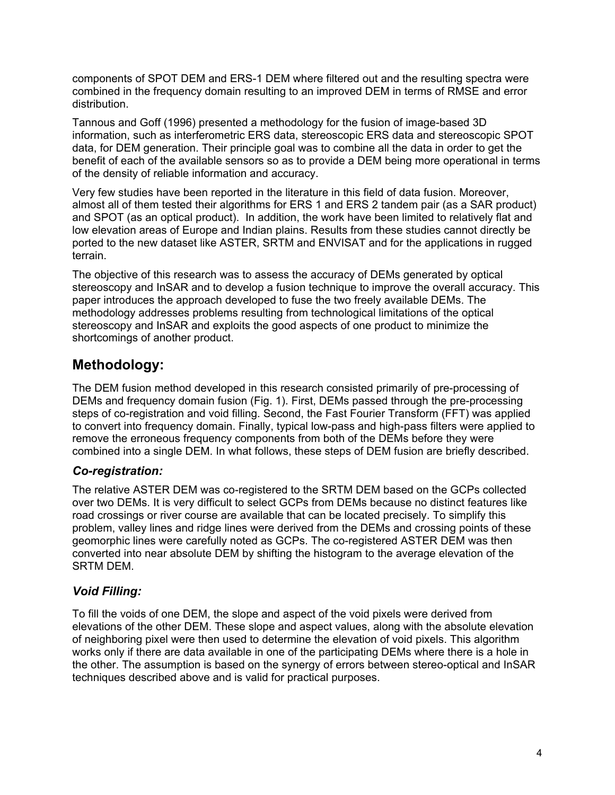components of SPOT DEM and ERS-1 DEM where filtered out and the resulting spectra were combined in the frequency domain resulting to an improved DEM in terms of RMSE and error distribution.

Tannous and Goff (1996) presented a methodology for the fusion of image-based 3D information, such as interferometric ERS data, stereoscopic ERS data and stereoscopic SPOT data, for DEM generation. Their principle goal was to combine all the data in order to get the benefit of each of the available sensors so as to provide a DEM being more operational in terms of the density of reliable information and accuracy.

Very few studies have been reported in the literature in this field of data fusion. Moreover, almost all of them tested their algorithms for ERS 1 and ERS 2 tandem pair (as a SAR product) and SPOT (as an optical product). In addition, the work have been limited to relatively flat and low elevation areas of Europe and Indian plains. Results from these studies cannot directly be ported to the new dataset like ASTER, SRTM and ENVISAT and for the applications in rugged terrain.

The objective of this research was to assess the accuracy of DEMs generated by optical stereoscopy and InSAR and to develop a fusion technique to improve the overall accuracy. This paper introduces the approach developed to fuse the two freely available DEMs. The methodology addresses problems resulting from technological limitations of the optical stereoscopy and InSAR and exploits the good aspects of one product to minimize the shortcomings of another product.

### **Methodology:**

The DEM fusion method developed in this research consisted primarily of pre-processing of DEMs and frequency domain fusion (Fig. 1). First, DEMs passed through the pre-processing steps of co-registration and void filling. Second, the Fast Fourier Transform (FFT) was applied to convert into frequency domain. Finally, typical low-pass and high-pass filters were applied to remove the erroneous frequency components from both of the DEMs before they were combined into a single DEM. In what follows, these steps of DEM fusion are briefly described.

### *Co-registration:*

The relative ASTER DEM was co-registered to the SRTM DEM based on the GCPs collected over two DEMs. It is very difficult to select GCPs from DEMs because no distinct features like road crossings or river course are available that can be located precisely. To simplify this problem, valley lines and ridge lines were derived from the DEMs and crossing points of these geomorphic lines were carefully noted as GCPs. The co-registered ASTER DEM was then converted into near absolute DEM by shifting the histogram to the average elevation of the SRTM DEM.

### *Void Filling:*

To fill the voids of one DEM, the slope and aspect of the void pixels were derived from elevations of the other DEM. These slope and aspect values, along with the absolute elevation of neighboring pixel were then used to determine the elevation of void pixels. This algorithm works only if there are data available in one of the participating DEMs where there is a hole in the other. The assumption is based on the synergy of errors between stereo-optical and InSAR techniques described above and is valid for practical purposes.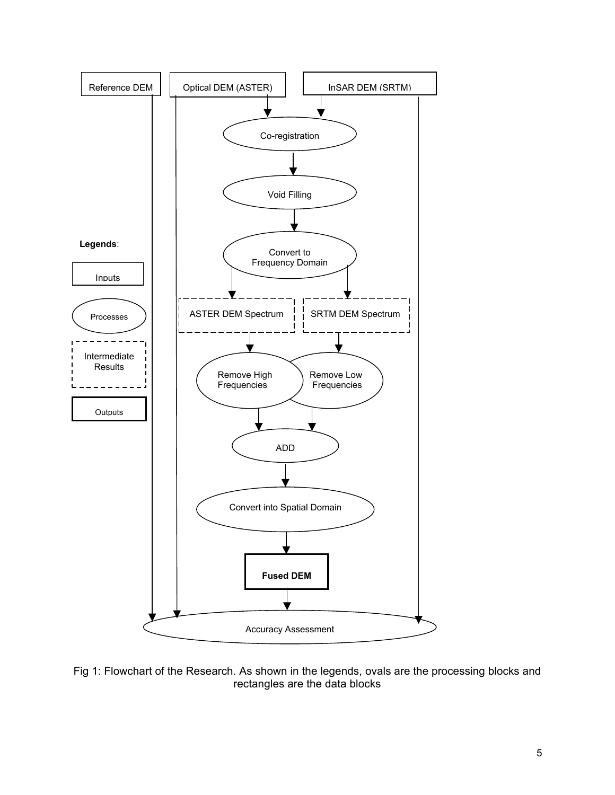

Fig 1: Flowchart of the Research. As shown in the legends, ovals are the processing blocks and rectangles are the data blocks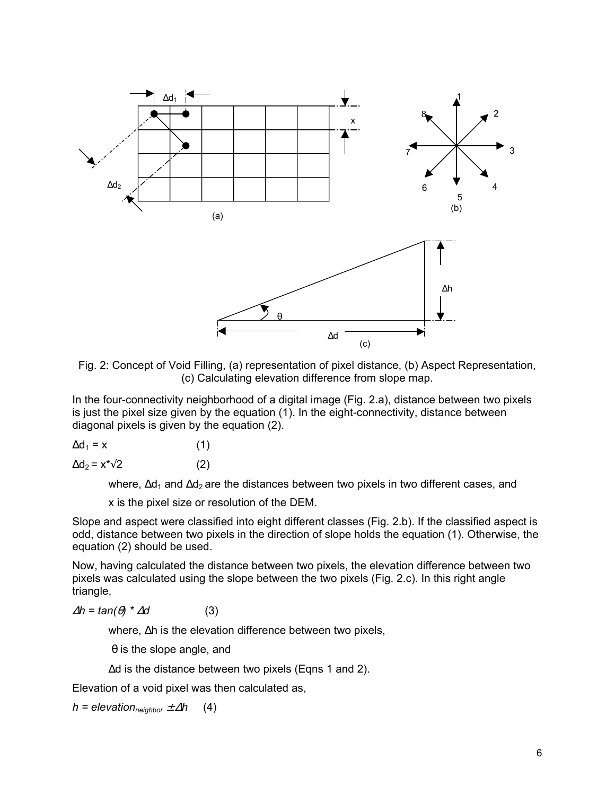

Fig. 2: Concept of Void Filling, (a) representation of pixel distance, (b) Aspect Representation, (c) Calculating elevation difference from slope map.

In the four-connectivity neighborhood of a digital image (Fig. 2.a), distance between two pixels is just the pixel size given by the equation (1). In the eight-connectivity, distance between diagonal pixels is given by the equation (2).

$$
\Delta d_1 = x \tag{1}
$$

 $\Delta d_2 = x^*\sqrt{2}$  (2)

where, ∆d<sub>1</sub> and ∆d<sub>2</sub> are the distances between two pixels in two different cases, and

x is the pixel size or resolution of the DEM.

Slope and aspect were classified into eight different classes (Fig. 2.b). If the classified aspect is odd, distance between two pixels in the direction of slope holds the equation (1). Otherwise, the equation (2) should be used.

Now, having calculated the distance between two pixels, the elevation difference between two pixels was calculated using the slope between the two pixels (Fig. 2.c). In this right angle triangle,

 $Δh = tan(θ) * Δd$  (3)

where, ∆h is the elevation difference between two pixels,

 $\theta$  is the slope angle, and

∆d is the distance between two pixels (Eqns 1 and 2).

Elevation of a void pixel was then calculated as,

*h* = elevation<sub>neighbor</sub>  $\pm \Delta h$  (4)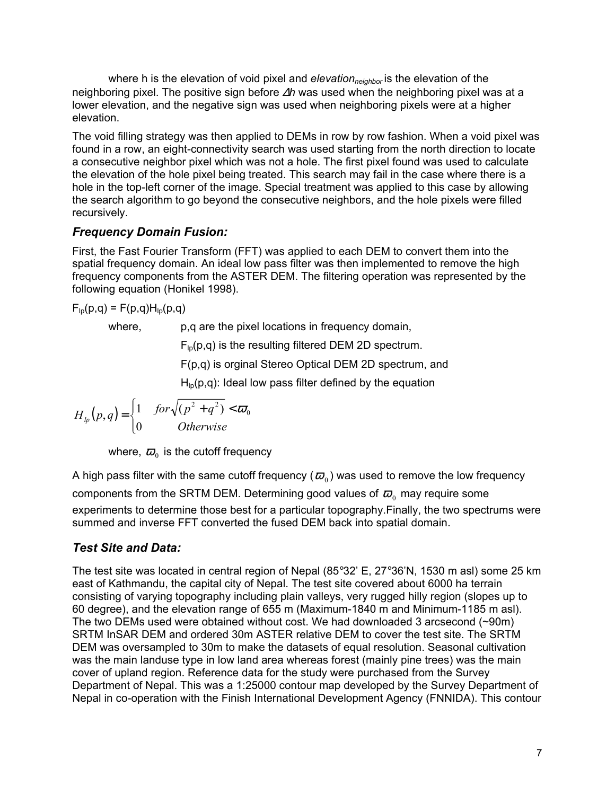where h is the elevation of void pixel and *elevation<sub>neighbor</sub>* is the elevation of the neighboring pixel. The positive sign before ∆*h* was used when the neighboring pixel was at a lower elevation, and the negative sign was used when neighboring pixels were at a higher elevation.

The void filling strategy was then applied to DEMs in row by row fashion. When a void pixel was found in a row, an eight-connectivity search was used starting from the north direction to locate a consecutive neighbor pixel which was not a hole. The first pixel found was used to calculate the elevation of the hole pixel being treated. This search may fail in the case where there is a hole in the top-left corner of the image. Special treatment was applied to this case by allowing the search algorithm to go beyond the consecutive neighbors, and the hole pixels were filled recursively.

#### *Frequency Domain Fusion:*

First, the Fast Fourier Transform (FFT) was applied to each DEM to convert them into the spatial frequency domain. An ideal low pass filter was then implemented to remove the high frequency components from the ASTER DEM. The filtering operation was represented by the following equation (Honikel 1998).

 $F_{lp}(p,q) = F(p,q)H_{lp}(p,q)$ 

where, p,q are the pixel locations in frequency domain,

 $F_{\text{lo}}(p,q)$  is the resulting filtered DEM 2D spectrum.

F(p,q) is orginal Stereo Optical DEM 2D spectrum, and

 $H<sub>10</sub>(p,q)$ : Ideal low pass filter defined by the equation

$$
H_{lp}(p,q) = \begin{cases} 1 & \text{for } \sqrt{(p^2 + q^2)} < \varpi_0 \\ 0 & \text{otherwise} \end{cases}
$$

where,  $\varpi_{0}$  is the cutoff frequency

A high pass filter with the same cutoff frequency ( $\varpi_0$ ) was used to remove the low frequency

components from the SRTM DEM. Determining good values of  $\bar{\omega}_0$  may require some experiments to determine those best for a particular topography.Finally, the two spectrums were summed and inverse FFT converted the fused DEM back into spatial domain.

### *Test Site and Data:*

The test site was located in central region of Nepal (85°32' E, 27°36'N, 1530 m asl) some 25 km east of Kathmandu, the capital city of Nepal. The test site covered about 6000 ha terrain consisting of varying topography including plain valleys, very rugged hilly region (slopes up to 60 degree), and the elevation range of 655 m (Maximum-1840 m and Minimum-1185 m asl). The two DEMs used were obtained without cost. We had downloaded 3 arcsecond (~90m) SRTM InSAR DEM and ordered 30m ASTER relative DEM to cover the test site. The SRTM DEM was oversampled to 30m to make the datasets of equal resolution. Seasonal cultivation was the main landuse type in low land area whereas forest (mainly pine trees) was the main cover of upland region. Reference data for the study were purchased from the Survey Department of Nepal. This was a 1:25000 contour map developed by the Survey Department of Nepal in co-operation with the Finish International Development Agency (FNNIDA). This contour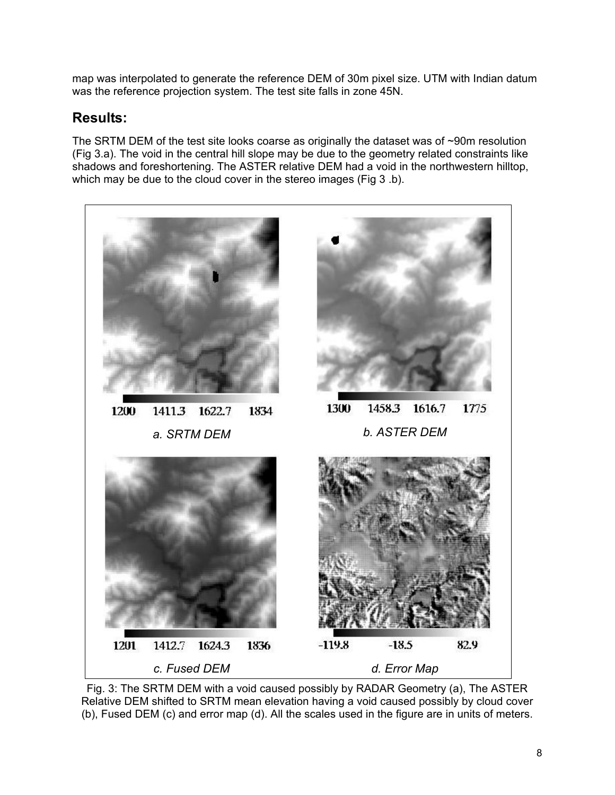map was interpolated to generate the reference DEM of 30m pixel size. UTM with Indian datum was the reference projection system. The test site falls in zone 45N.

# **Results:**

The SRTM DEM of the test site looks coarse as originally the dataset was of ~90m resolution (Fig 3.a). The void in the central hill slope may be due to the geometry related constraints like shadows and foreshortening. The ASTER relative DEM had a void in the northwestern hilltop, which may be due to the cloud cover in the stereo images (Fig 3 .b).



Fig. 3: The SRTM DEM with a void caused possibly by RADAR Geometry (a), The ASTER Relative DEM shifted to SRTM mean elevation having a void caused possibly by cloud cover (b), Fused DEM (c) and error map (d). All the scales used in the figure are in units of meters.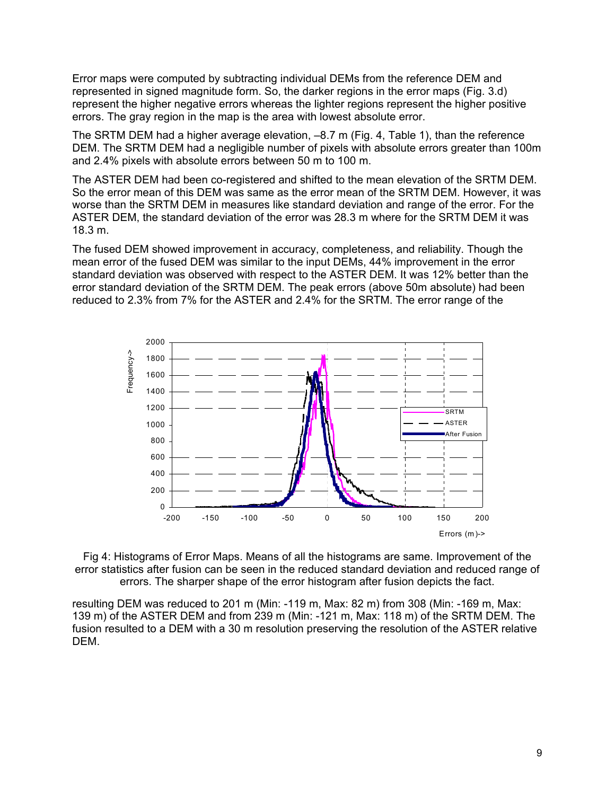Error maps were computed by subtracting individual DEMs from the reference DEM and represented in signed magnitude form. So, the darker regions in the error maps (Fig. 3.d) represent the higher negative errors whereas the lighter regions represent the higher positive errors. The gray region in the map is the area with lowest absolute error.

The SRTM DEM had a higher average elevation, –8.7 m (Fig. 4, Table 1), than the reference DEM. The SRTM DEM had a negligible number of pixels with absolute errors greater than 100m and 2.4% pixels with absolute errors between 50 m to 100 m.

The ASTER DEM had been co-registered and shifted to the mean elevation of the SRTM DEM. So the error mean of this DEM was same as the error mean of the SRTM DEM. However, it was worse than the SRTM DEM in measures like standard deviation and range of the error. For the ASTER DEM, the standard deviation of the error was 28.3 m where for the SRTM DEM it was 18.3 m.

The fused DEM showed improvement in accuracy, completeness, and reliability. Though the mean error of the fused DEM was similar to the input DEMs, 44% improvement in the error standard deviation was observed with respect to the ASTER DEM. It was 12% better than the error standard deviation of the SRTM DEM. The peak errors (above 50m absolute) had been reduced to 2.3% from 7% for the ASTER and 2.4% for the SRTM. The error range of the



Fig 4: Histograms of Error Maps. Means of all the histograms are same. Improvement of the error statistics after fusion can be seen in the reduced standard deviation and reduced range of errors. The sharper shape of the error histogram after fusion depicts the fact.

resulting DEM was reduced to 201 m (Min: -119 m, Max: 82 m) from 308 (Min: -169 m, Max: 139 m) of the ASTER DEM and from 239 m (Min: -121 m, Max: 118 m) of the SRTM DEM. The fusion resulted to a DEM with a 30 m resolution preserving the resolution of the ASTER relative DEM.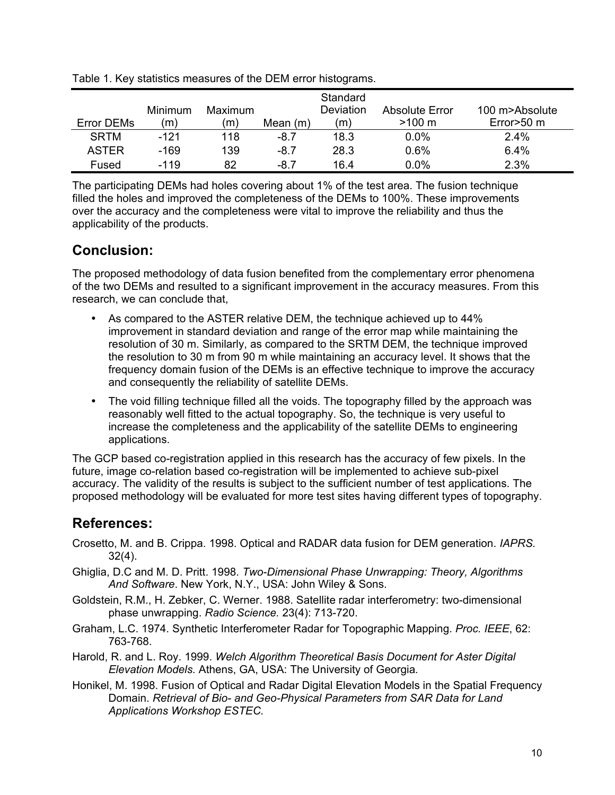|              |         |         |          | Standard  |                  |                |
|--------------|---------|---------|----------|-----------|------------------|----------------|
|              | Minimum | Maximum |          | Deviation | Absolute Error   | 100 m>Absolute |
| Error DEMs   | (m)     | (m      | Mean (m) | (m)       | $>100 \;{\rm m}$ | $Error > 50$ m |
| <b>SRTM</b>  | $-121$  | 118     | $-8.7$   | 18.3      | 0.0%             | $2.4\%$        |
| <b>ASTER</b> | -169    | 139     | $-8.7$   | 28.3      | 0.6%             | 6.4%           |
| Fused        | $-119$  | 82      | $-8.7$   | 16.4      | $0.0\%$          | 2.3%           |

Table 1. Key statistics measures of the DEM error histograms.

The participating DEMs had holes covering about 1% of the test area. The fusion technique filled the holes and improved the completeness of the DEMs to 100%. These improvements over the accuracy and the completeness were vital to improve the reliability and thus the applicability of the products.

### **Conclusion:**

The proposed methodology of data fusion benefited from the complementary error phenomena of the two DEMs and resulted to a significant improvement in the accuracy measures. From this research, we can conclude that,

- As compared to the ASTER relative DEM, the technique achieved up to 44% improvement in standard deviation and range of the error map while maintaining the resolution of 30 m. Similarly, as compared to the SRTM DEM, the technique improved the resolution to 30 m from 90 m while maintaining an accuracy level. It shows that the frequency domain fusion of the DEMs is an effective technique to improve the accuracy and consequently the reliability of satellite DEMs.
- The void filling technique filled all the voids. The topography filled by the approach was reasonably well fitted to the actual topography. So, the technique is very useful to increase the completeness and the applicability of the satellite DEMs to engineering applications.

The GCP based co-registration applied in this research has the accuracy of few pixels. In the future, image co-relation based co-registration will be implemented to achieve sub-pixel accuracy. The validity of the results is subject to the sufficient number of test applications. The proposed methodology will be evaluated for more test sites having different types of topography.

# **References:**

- Crosetto, M. and B. Crippa. 1998. Optical and RADAR data fusion for DEM generation. *IAPRS.* 32(4).
- Ghiglia, D.C and M. D. Pritt. 1998. *Two-Dimensional Phase Unwrapping: Theory, Algorithms And Software*. New York, N.Y., USA: John Wiley & Sons.
- Goldstein, R.M., H. Zebker, C. Werner. 1988. Satellite radar interferometry: two-dimensional phase unwrapping. *Radio Science.* 23(4): 713-720.
- Graham, L.C. 1974. Synthetic Interferometer Radar for Topographic Mapping. *Proc. IEEE*, 62: 763-768.
- Harold, R. and L. Roy. 1999. *Welch Algorithm Theoretical Basis Document for Aster Digital Elevation Models.* Athens, GA, USA: The University of Georgia*.*
- Honikel, M. 1998. Fusion of Optical and Radar Digital Elevation Models in the Spatial Frequency Domain. *Retrieval of Bio- and Geo-Physical Parameters from SAR Data for Land Applications Workshop ESTEC.*